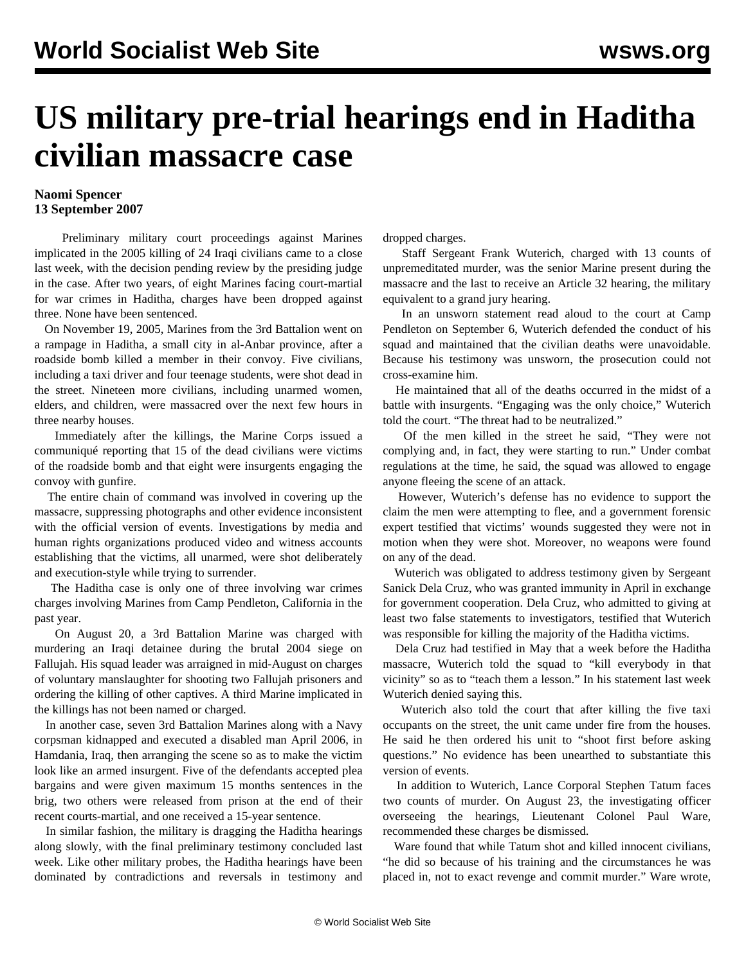## **US military pre-trial hearings end in Haditha civilian massacre case**

## **Naomi Spencer 13 September 2007**

 Preliminary military court proceedings against Marines implicated in the 2005 killing of 24 Iraqi civilians came to a close last week, with the decision pending review by the presiding judge in the case. After two years, of eight Marines facing court-martial for war crimes in Haditha, charges have been dropped against three. None have been sentenced.

 On November 19, 2005, Marines from the 3rd Battalion went on a rampage in Haditha, a small city in al-Anbar province, after a roadside bomb killed a member in their convoy. Five civilians, including a taxi driver and four teenage students, were shot dead in the street. Nineteen more civilians, including unarmed women, elders, and children, were massacred over the next few hours in three nearby houses.

 Immediately after the killings, the Marine Corps issued a communiqué reporting that 15 of the dead civilians were victims of the roadside bomb and that eight were insurgents engaging the convoy with gunfire.

 The entire chain of command was involved in covering up the massacre, suppressing photographs and other evidence inconsistent with the official version of events. Investigations by media and human rights organizations produced video and witness accounts establishing that the victims, all unarmed, were shot deliberately and execution-style while trying to surrender.

 The Haditha case is only one of three involving war crimes charges involving Marines from Camp Pendleton, California in the past year.

 On August 20, a 3rd Battalion Marine was charged with murdering an Iraqi detainee during the brutal 2004 siege on Fallujah. His squad leader was arraigned in mid-August on charges of voluntary manslaughter for shooting two Fallujah prisoners and ordering the killing of other captives. A third Marine implicated in the killings has not been named or charged.

 In another case, seven 3rd Battalion Marines along with a Navy corpsman kidnapped and executed a disabled man April 2006, in Hamdania, Iraq, then arranging the scene so as to make the victim look like an armed insurgent. Five of the defendants accepted plea bargains and were given maximum 15 months sentences in the brig, two others were released from prison at the end of their recent courts-martial, and one received a 15-year sentence.

 In similar fashion, the military is dragging the Haditha hearings along slowly, with the final preliminary testimony concluded last week. Like other military probes, the Haditha hearings have been dominated by contradictions and reversals in testimony and dropped charges.

 Staff Sergeant Frank Wuterich, charged with 13 counts of unpremeditated murder, was the senior Marine present during the massacre and the last to receive an Article 32 hearing, the military equivalent to a grand jury hearing.

 In an unsworn statement read aloud to the court at Camp Pendleton on September 6, Wuterich defended the conduct of his squad and maintained that the civilian deaths were unavoidable. Because his testimony was unsworn, the prosecution could not cross-examine him.

 He maintained that all of the deaths occurred in the midst of a battle with insurgents. "Engaging was the only choice," Wuterich told the court. "The threat had to be neutralized."

 Of the men killed in the street he said, "They were not complying and, in fact, they were starting to run." Under combat regulations at the time, he said, the squad was allowed to engage anyone fleeing the scene of an attack.

 However, Wuterich's defense has no evidence to support the claim the men were attempting to flee, and a government forensic expert testified that victims' wounds suggested they were not in motion when they were shot. Moreover, no weapons were found on any of the dead.

 Wuterich was obligated to address testimony given by Sergeant Sanick Dela Cruz, who was granted immunity in April in exchange for government cooperation. Dela Cruz, who admitted to giving at least two false statements to investigators, testified that Wuterich was responsible for killing the majority of the Haditha victims.

 Dela Cruz had testified in May that a week before the Haditha massacre, Wuterich told the squad to "kill everybody in that vicinity" so as to "teach them a lesson." In his statement last week Wuterich denied saying this.

 Wuterich also told the court that after killing the five taxi occupants on the street, the unit came under fire from the houses. He said he then ordered his unit to "shoot first before asking questions." No evidence has been unearthed to substantiate this version of events.

 In addition to Wuterich, Lance Corporal Stephen Tatum faces two counts of murder. On August 23, the investigating officer overseeing the hearings, Lieutenant Colonel Paul Ware, recommended these charges be dismissed.

Ware found that while Tatum shot and killed innocent civilians. "he did so because of his training and the circumstances he was placed in, not to exact revenge and commit murder." Ware wrote,